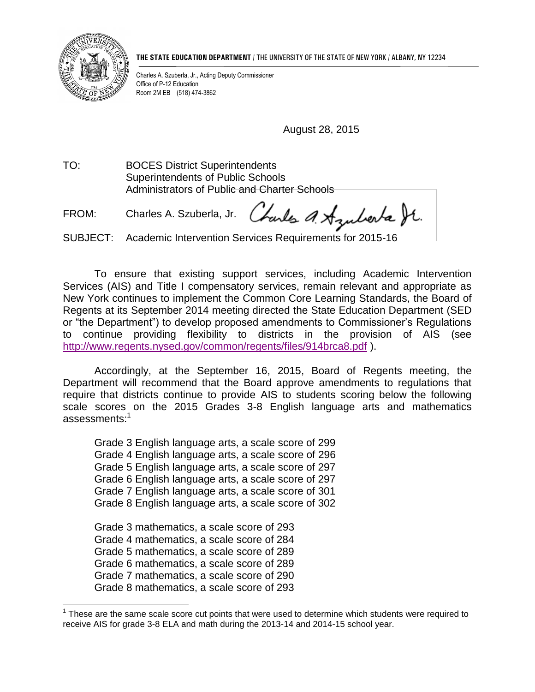

 $\overline{a}$ 

**THE STATE EDUCATION DEPARTMENT** / THE UNIVERSITY OF THE STATE OF NEW YORK / ALBANY, NY 12234

Charles A. Szuberla, Jr., Acting Deputy Commissioner Office of P-12 Education Room 2M EB (518) 474-3862

August 28, 2015

TO: BOCES District Superintendents Superintendents of Public Schools Administrators of Public and Charter Schools

Charles a Azuberta St. FROM: Charles A. Szuberla, Jr.

SUBJECT: Academic Intervention Services Requirements for 2015-16

 To ensure that existing support services, including Academic Intervention Services (AIS) and Title I compensatory services, remain relevant and appropriate as New York continues to implement the Common Core Learning Standards, the Board of Regents at its September 2014 meeting directed the State Education Department (SED or "the Department") to develop proposed amendments to Commissioner's Regulations to continue providing flexibility to districts in the provision of AIS (see <http://www.regents.nysed.gov/common/regents/files/914brca8.pdf> ).

 Accordingly, at the September 16, 2015, Board of Regents meeting, the Department will recommend that the Board approve amendments to regulations that require that districts continue to provide AIS to students scoring below the following scale scores on the 2015 Grades 3-8 English language arts and mathematics assessments:<sup>1</sup>

 Grade 3 English language arts, a scale score of 299 Grade 4 English language arts, a scale score of 296 Grade 5 English language arts, a scale score of 297 Grade 6 English language arts, a scale score of 297 Grade 7 English language arts, a scale score of 301 Grade 8 English language arts, a scale score of 302

 Grade 3 mathematics, a scale score of 293 Grade 4 mathematics, a scale score of 284 Grade 5 mathematics, a scale score of 289 Grade 6 mathematics, a scale score of 289 Grade 7 mathematics, a scale score of 290 Grade 8 mathematics, a scale score of 293

 $1$  These are the same scale score cut points that were used to determine which students were required to receive AIS for grade 3-8 ELA and math during the 2013-14 and 2014-15 school year.